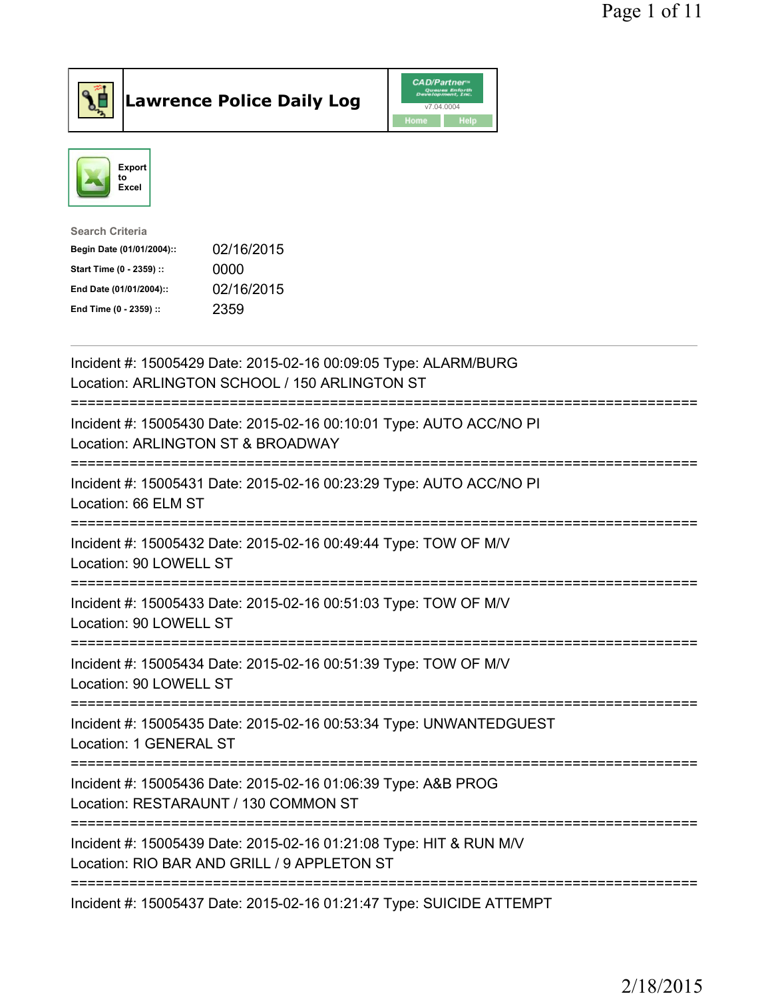

Lawrence Police Daily Log CAD/Partner



| <b>Search Criteria</b>    |            |
|---------------------------|------------|
| Begin Date (01/01/2004):: | 02/16/2015 |
| Start Time (0 - 2359) ::  | 0000       |
| End Date (01/01/2004)::   | 02/16/2015 |
| End Time (0 - 2359) ::    | 2359       |
|                           |            |

| Incident #: 15005429 Date: 2015-02-16 00:09:05 Type: ALARM/BURG<br>Location: ARLINGTON SCHOOL / 150 ARLINGTON ST                                           |
|------------------------------------------------------------------------------------------------------------------------------------------------------------|
| Incident #: 15005430 Date: 2015-02-16 00:10:01 Type: AUTO ACC/NO PI<br>Location: ARLINGTON ST & BROADWAY                                                   |
| Incident #: 15005431 Date: 2015-02-16 00:23:29 Type: AUTO ACC/NO PI<br>Location: 66 ELM ST<br>===============                                              |
| Incident #: 15005432 Date: 2015-02-16 00:49:44 Type: TOW OF M/V<br>Location: 90 LOWELL ST                                                                  |
| Incident #: 15005433 Date: 2015-02-16 00:51:03 Type: TOW OF M/V<br>Location: 90 LOWELL ST                                                                  |
| Incident #: 15005434 Date: 2015-02-16 00:51:39 Type: TOW OF M/V<br>Location: 90 LOWELL ST                                                                  |
| Incident #: 15005435 Date: 2015-02-16 00:53:34 Type: UNWANTEDGUEST<br>Location: 1 GENERAL ST                                                               |
| Incident #: 15005436 Date: 2015-02-16 01:06:39 Type: A&B PROG<br>Location: RESTARAUNT / 130 COMMON ST<br>=================================                 |
| Incident #: 15005439 Date: 2015-02-16 01:21:08 Type: HIT & RUN M/V<br>Location: RIO BAR AND GRILL / 9 APPLETON ST<br>.------------------------------------ |
| Incident #: 15005437 Date: 2015-02-16 01:21:47 Type: SUICIDE ATTEMPT                                                                                       |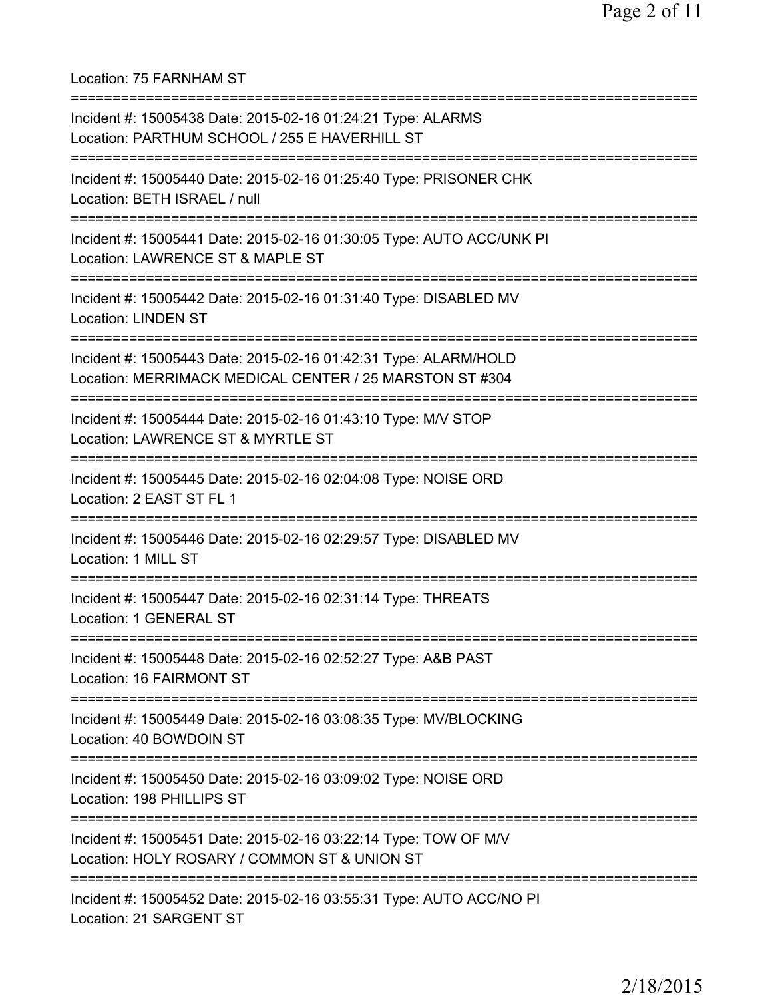Location: 75 FARNHAM ST

| Incident #: 15005438 Date: 2015-02-16 01:24:21 Type: ALARMS<br>Location: PARTHUM SCHOOL / 255 E HAVERHILL ST               |
|----------------------------------------------------------------------------------------------------------------------------|
| Incident #: 15005440 Date: 2015-02-16 01:25:40 Type: PRISONER CHK<br>Location: BETH ISRAEL / null                          |
| Incident #: 15005441 Date: 2015-02-16 01:30:05 Type: AUTO ACC/UNK PI<br>Location: LAWRENCE ST & MAPLE ST                   |
| Incident #: 15005442 Date: 2015-02-16 01:31:40 Type: DISABLED MV<br><b>Location: LINDEN ST</b>                             |
| Incident #: 15005443 Date: 2015-02-16 01:42:31 Type: ALARM/HOLD<br>Location: MERRIMACK MEDICAL CENTER / 25 MARSTON ST #304 |
| Incident #: 15005444 Date: 2015-02-16 01:43:10 Type: M/V STOP<br>Location: LAWRENCE ST & MYRTLE ST                         |
| Incident #: 15005445 Date: 2015-02-16 02:04:08 Type: NOISE ORD<br>Location: 2 EAST ST FL 1                                 |
| Incident #: 15005446 Date: 2015-02-16 02:29:57 Type: DISABLED MV<br>Location: 1 MILL ST                                    |
| Incident #: 15005447 Date: 2015-02-16 02:31:14 Type: THREATS<br>Location: 1 GENERAL ST                                     |
| Incident #: 15005448 Date: 2015-02-16 02:52:27 Type: A&B PAST<br>Location: 16 FAIRMONT ST                                  |
| Incident #: 15005449 Date: 2015-02-16 03:08:35 Type: MV/BLOCKING<br>Location: 40 BOWDOIN ST                                |
| Incident #: 15005450 Date: 2015-02-16 03:09:02 Type: NOISE ORD<br>Location: 198 PHILLIPS ST                                |
| Incident #: 15005451 Date: 2015-02-16 03:22:14 Type: TOW OF M/V<br>Location: HOLY ROSARY / COMMON ST & UNION ST            |
| Incident #: 15005452 Date: 2015-02-16 03:55:31 Type: AUTO ACC/NO PI<br>Location: 21 SARGENT ST                             |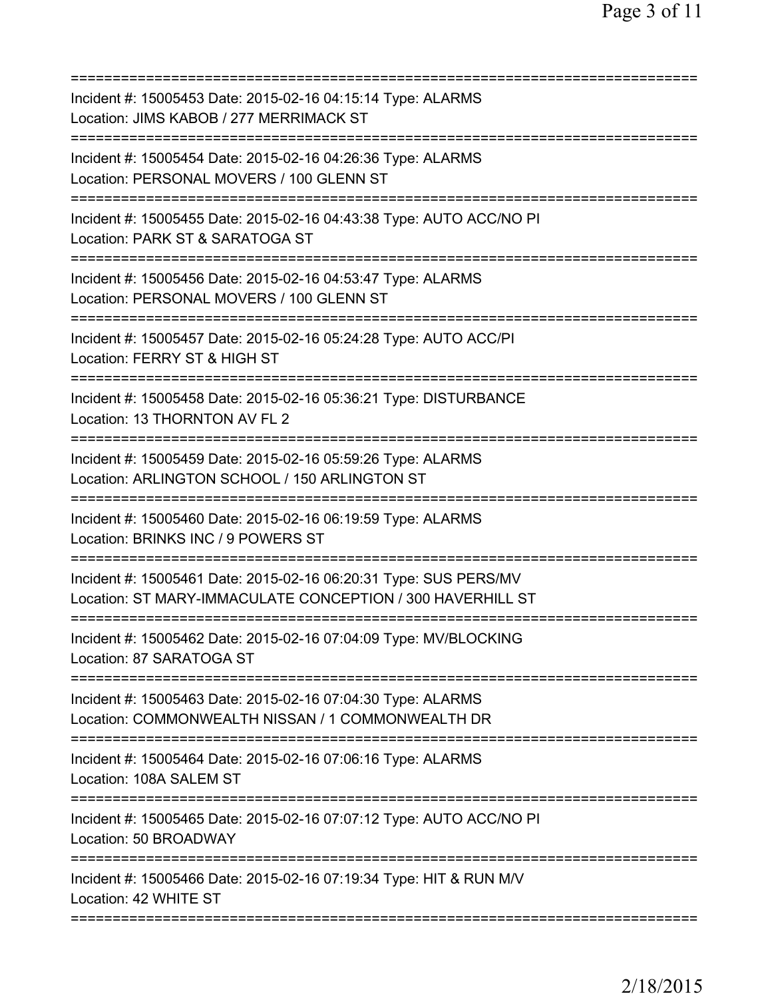| Incident #: 15005453 Date: 2015-02-16 04:15:14 Type: ALARMS<br>Location: JIMS KABOB / 277 MERRIMACK ST                                |
|---------------------------------------------------------------------------------------------------------------------------------------|
| Incident #: 15005454 Date: 2015-02-16 04:26:36 Type: ALARMS<br>Location: PERSONAL MOVERS / 100 GLENN ST                               |
| Incident #: 15005455 Date: 2015-02-16 04:43:38 Type: AUTO ACC/NO PI<br>Location: PARK ST & SARATOGA ST                                |
| Incident #: 15005456 Date: 2015-02-16 04:53:47 Type: ALARMS<br>Location: PERSONAL MOVERS / 100 GLENN ST                               |
| ============================<br>Incident #: 15005457 Date: 2015-02-16 05:24:28 Type: AUTO ACC/PI<br>Location: FERRY ST & HIGH ST      |
| Incident #: 15005458 Date: 2015-02-16 05:36:21 Type: DISTURBANCE<br>Location: 13 THORNTON AV FL 2                                     |
| Incident #: 15005459 Date: 2015-02-16 05:59:26 Type: ALARMS<br>Location: ARLINGTON SCHOOL / 150 ARLINGTON ST                          |
| Incident #: 15005460 Date: 2015-02-16 06:19:59 Type: ALARMS<br>Location: BRINKS INC / 9 POWERS ST                                     |
| Incident #: 15005461 Date: 2015-02-16 06:20:31 Type: SUS PERS/MV<br>Location: ST MARY-IMMACULATE CONCEPTION / 300 HAVERHILL ST        |
| Incident #: 15005462 Date: 2015-02-16 07:04:09 Type: MV/BLOCKING<br>Location: 87 SARATOGA ST                                          |
| -----------------<br>Incident #: 15005463 Date: 2015-02-16 07:04:30 Type: ALARMS<br>Location: COMMONWEALTH NISSAN / 1 COMMONWEALTH DR |
| Incident #: 15005464 Date: 2015-02-16 07:06:16 Type: ALARMS<br>Location: 108A SALEM ST                                                |
| Incident #: 15005465 Date: 2015-02-16 07:07:12 Type: AUTO ACC/NO PI<br>Location: 50 BROADWAY                                          |
| Incident #: 15005466 Date: 2015-02-16 07:19:34 Type: HIT & RUN M/V<br>Location: 42 WHITE ST                                           |
|                                                                                                                                       |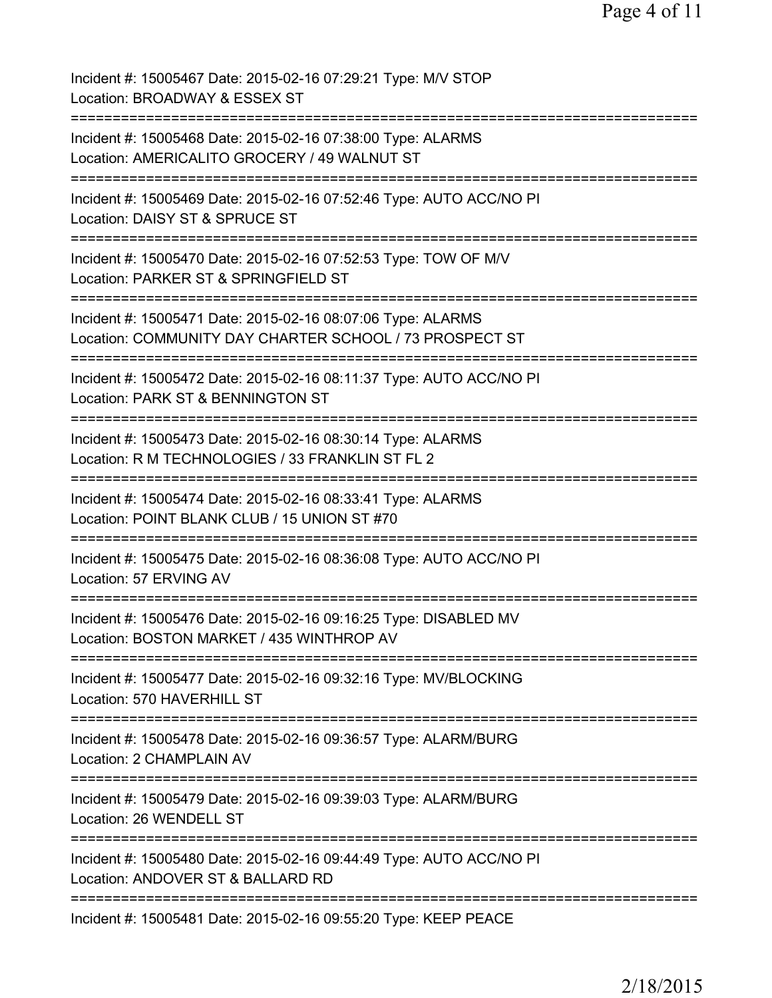| Incident #: 15005467 Date: 2015-02-16 07:29:21 Type: M/V STOP<br>Location: BROADWAY & ESSEX ST                                          |
|-----------------------------------------------------------------------------------------------------------------------------------------|
| Incident #: 15005468 Date: 2015-02-16 07:38:00 Type: ALARMS<br>Location: AMERICALITO GROCERY / 49 WALNUT ST                             |
| Incident #: 15005469 Date: 2015-02-16 07:52:46 Type: AUTO ACC/NO PI<br>Location: DAISY ST & SPRUCE ST                                   |
| Incident #: 15005470 Date: 2015-02-16 07:52:53 Type: TOW OF M/V<br>Location: PARKER ST & SPRINGFIELD ST                                 |
| Incident #: 15005471 Date: 2015-02-16 08:07:06 Type: ALARMS<br>Location: COMMUNITY DAY CHARTER SCHOOL / 73 PROSPECT ST                  |
| Incident #: 15005472 Date: 2015-02-16 08:11:37 Type: AUTO ACC/NO PI<br>Location: PARK ST & BENNINGTON ST                                |
| Incident #: 15005473 Date: 2015-02-16 08:30:14 Type: ALARMS<br>Location: R M TECHNOLOGIES / 33 FRANKLIN ST FL 2                         |
| :=======================<br>Incident #: 15005474 Date: 2015-02-16 08:33:41 Type: ALARMS<br>Location: POINT BLANK CLUB / 15 UNION ST #70 |
| Incident #: 15005475 Date: 2015-02-16 08:36:08 Type: AUTO ACC/NO PI<br>Location: 57 ERVING AV                                           |
| Incident #: 15005476 Date: 2015-02-16 09:16:25 Type: DISABLED MV<br>Location: BOSTON MARKET / 435 WINTHROP AV                           |
| Incident #: 15005477 Date: 2015-02-16 09:32:16 Type: MV/BLOCKING<br>Location: 570 HAVERHILL ST                                          |
| Incident #: 15005478 Date: 2015-02-16 09:36:57 Type: ALARM/BURG<br>Location: 2 CHAMPLAIN AV                                             |
| Incident #: 15005479 Date: 2015-02-16 09:39:03 Type: ALARM/BURG<br>Location: 26 WENDELL ST                                              |
| Incident #: 15005480 Date: 2015-02-16 09:44:49 Type: AUTO ACC/NO PI<br>Location: ANDOVER ST & BALLARD RD                                |
| Incident #: 15005481 Date: 2015-02-16 09:55:20 Type: KEEP PEACE                                                                         |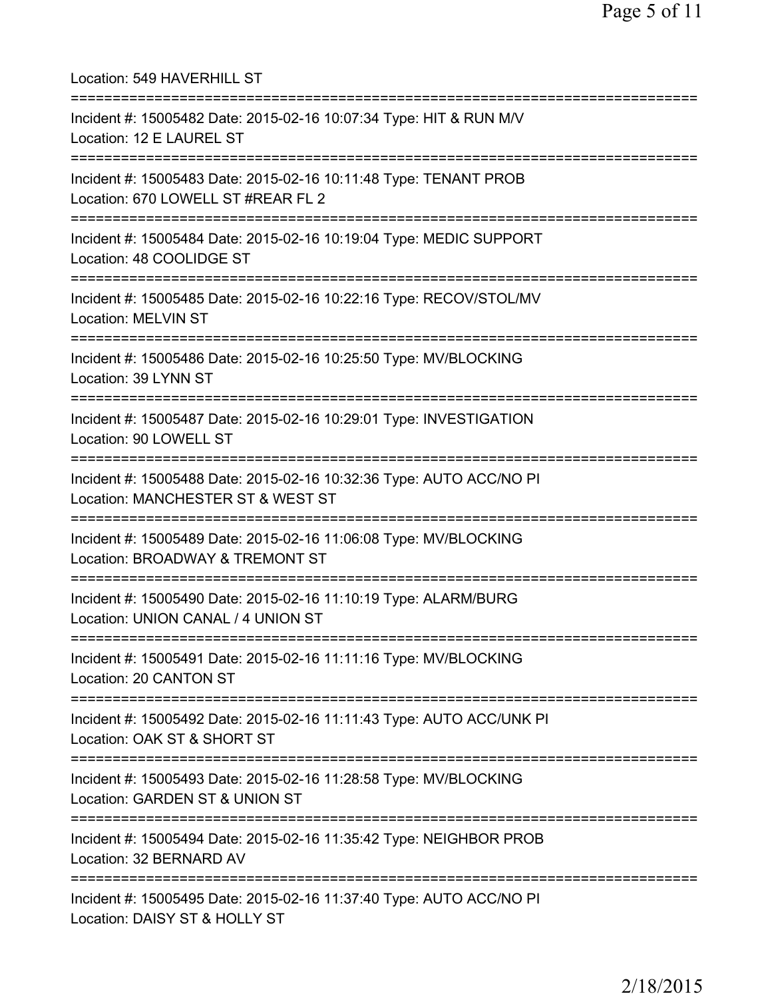| Location: 549 HAVERHILL ST<br>=====================================                                                       |
|---------------------------------------------------------------------------------------------------------------------------|
| Incident #: 15005482 Date: 2015-02-16 10:07:34 Type: HIT & RUN M/V<br>Location: 12 E LAUREL ST                            |
| Incident #: 15005483 Date: 2015-02-16 10:11:48 Type: TENANT PROB<br>Location: 670 LOWELL ST #REAR FL 2                    |
| Incident #: 15005484 Date: 2015-02-16 10:19:04 Type: MEDIC SUPPORT<br>Location: 48 COOLIDGE ST<br>======================= |
| Incident #: 15005485 Date: 2015-02-16 10:22:16 Type: RECOV/STOL/MV<br><b>Location: MELVIN ST</b>                          |
| Incident #: 15005486 Date: 2015-02-16 10:25:50 Type: MV/BLOCKING<br>Location: 39 LYNN ST                                  |
| Incident #: 15005487 Date: 2015-02-16 10:29:01 Type: INVESTIGATION<br>Location: 90 LOWELL ST                              |
| Incident #: 15005488 Date: 2015-02-16 10:32:36 Type: AUTO ACC/NO PI<br>Location: MANCHESTER ST & WEST ST                  |
| Incident #: 15005489 Date: 2015-02-16 11:06:08 Type: MV/BLOCKING<br>Location: BROADWAY & TREMONT ST                       |
| Incident #: 15005490 Date: 2015-02-16 11:10:19 Type: ALARM/BURG<br>Location: UNION CANAL / 4 UNION ST                     |
| Incident #: 15005491 Date: 2015-02-16 11:11:16 Type: MV/BLOCKING<br>Location: 20 CANTON ST                                |
| Incident #: 15005492 Date: 2015-02-16 11:11:43 Type: AUTO ACC/UNK PI<br>Location: OAK ST & SHORT ST                       |
| Incident #: 15005493 Date: 2015-02-16 11:28:58 Type: MV/BLOCKING<br>Location: GARDEN ST & UNION ST                        |
| Incident #: 15005494 Date: 2015-02-16 11:35:42 Type: NEIGHBOR PROB<br>Location: 32 BERNARD AV                             |
| Incident #: 15005495 Date: 2015-02-16 11:37:40 Type: AUTO ACC/NO PI<br>Location: DAISY ST & HOLLY ST                      |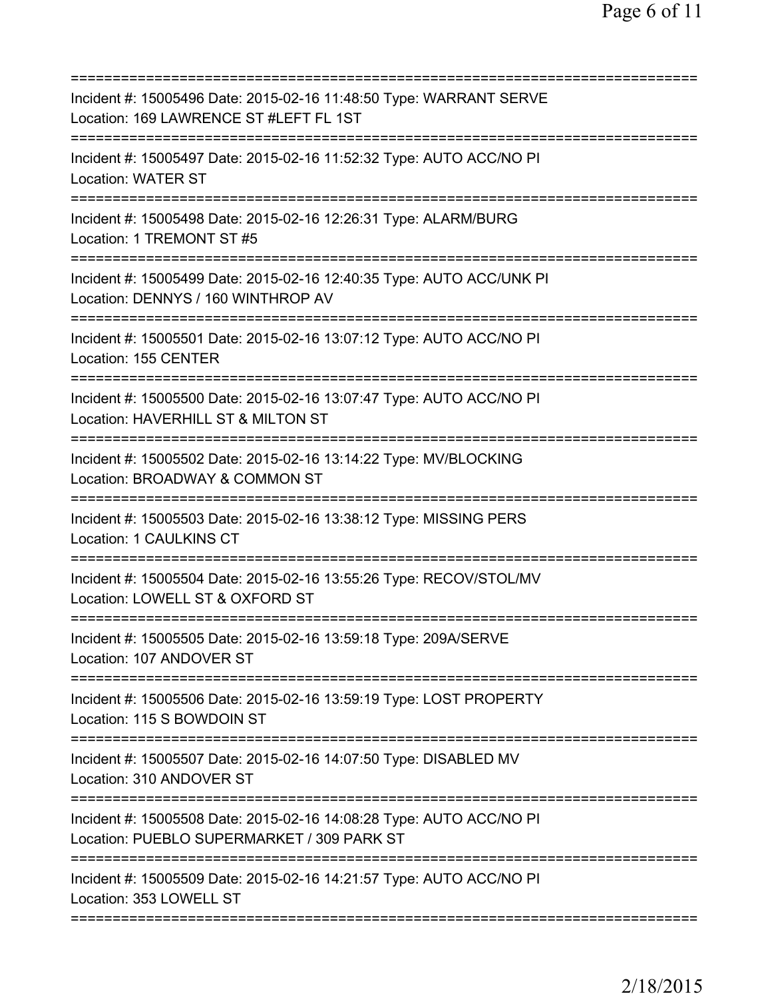| Incident #: 15005496 Date: 2015-02-16 11:48:50 Type: WARRANT SERVE<br>Location: 169 LAWRENCE ST #LEFT FL 1ST                      |
|-----------------------------------------------------------------------------------------------------------------------------------|
| Incident #: 15005497 Date: 2015-02-16 11:52:32 Type: AUTO ACC/NO PI<br><b>Location: WATER ST</b>                                  |
| Incident #: 15005498 Date: 2015-02-16 12:26:31 Type: ALARM/BURG<br>Location: 1 TREMONT ST #5                                      |
| Incident #: 15005499 Date: 2015-02-16 12:40:35 Type: AUTO ACC/UNK PI<br>Location: DENNYS / 160 WINTHROP AV                        |
| Incident #: 15005501 Date: 2015-02-16 13:07:12 Type: AUTO ACC/NO PI<br>Location: 155 CENTER                                       |
| Incident #: 15005500 Date: 2015-02-16 13:07:47 Type: AUTO ACC/NO PI<br>Location: HAVERHILL ST & MILTON ST                         |
| Incident #: 15005502 Date: 2015-02-16 13:14:22 Type: MV/BLOCKING<br>Location: BROADWAY & COMMON ST<br>=========================== |
| Incident #: 15005503 Date: 2015-02-16 13:38:12 Type: MISSING PERS<br><b>Location: 1 CAULKINS CT</b>                               |
| Incident #: 15005504 Date: 2015-02-16 13:55:26 Type: RECOV/STOL/MV<br>Location: LOWELL ST & OXFORD ST                             |
| Incident #: 15005505 Date: 2015-02-16 13:59:18 Type: 209A/SERVE<br>Location: 107 ANDOVER ST                                       |
| Incident #: 15005506 Date: 2015-02-16 13:59:19 Type: LOST PROPERTY<br>Location: 115 S BOWDOIN ST                                  |
| Incident #: 15005507 Date: 2015-02-16 14:07:50 Type: DISABLED MV<br>Location: 310 ANDOVER ST                                      |
| Incident #: 15005508 Date: 2015-02-16 14:08:28 Type: AUTO ACC/NO PI<br>Location: PUEBLO SUPERMARKET / 309 PARK ST                 |
| Incident #: 15005509 Date: 2015-02-16 14:21:57 Type: AUTO ACC/NO PI<br>Location: 353 LOWELL ST                                    |
|                                                                                                                                   |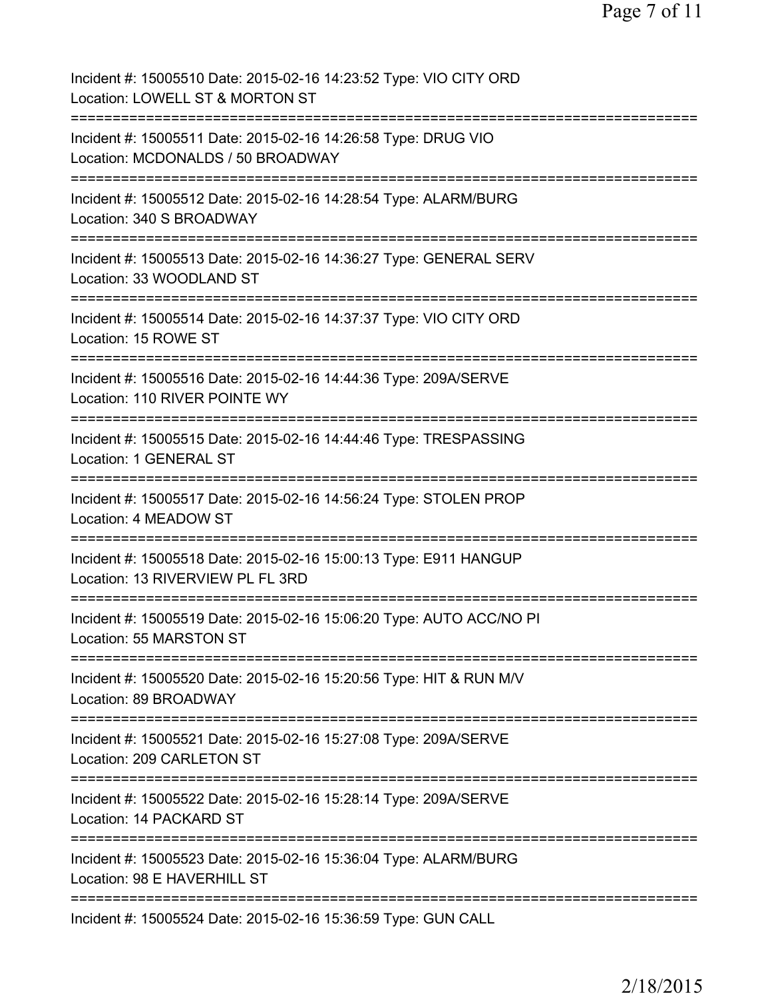| Incident #: 15005510 Date: 2015-02-16 14:23:52 Type: VIO CITY ORD<br>Location: LOWELL ST & MORTON ST                                                        |
|-------------------------------------------------------------------------------------------------------------------------------------------------------------|
| Incident #: 15005511 Date: 2015-02-16 14:26:58 Type: DRUG VIO<br>Location: MCDONALDS / 50 BROADWAY                                                          |
| Incident #: 15005512 Date: 2015-02-16 14:28:54 Type: ALARM/BURG<br>Location: 340 S BROADWAY                                                                 |
| Incident #: 15005513 Date: 2015-02-16 14:36:27 Type: GENERAL SERV<br>Location: 33 WOODLAND ST                                                               |
| Incident #: 15005514 Date: 2015-02-16 14:37:37 Type: VIO CITY ORD<br>Location: 15 ROWE ST                                                                   |
| Incident #: 15005516 Date: 2015-02-16 14:44:36 Type: 209A/SERVE<br>Location: 110 RIVER POINTE WY                                                            |
| Incident #: 15005515 Date: 2015-02-16 14:44:46 Type: TRESPASSING<br>Location: 1 GENERAL ST                                                                  |
| Incident #: 15005517 Date: 2015-02-16 14:56:24 Type: STOLEN PROP<br>Location: 4 MEADOW ST                                                                   |
| Incident #: 15005518 Date: 2015-02-16 15:00:13 Type: E911 HANGUP<br>Location: 13 RIVERVIEW PL FL 3RD                                                        |
| Incident #: 15005519 Date: 2015-02-16 15:06:20 Type: AUTO ACC/NO PI<br>Location: 55 MARSTON ST                                                              |
| =====================<br>===================================<br>Incident #: 15005520 Date: 2015-02-16 15:20:56 Type: HIT & RUN M/V<br>Location: 89 BROADWAY |
| -------------------------<br>Incident #: 15005521 Date: 2015-02-16 15:27:08 Type: 209A/SERVE<br>Location: 209 CARLETON ST                                   |
| Incident #: 15005522 Date: 2015-02-16 15:28:14 Type: 209A/SERVE<br>Location: 14 PACKARD ST                                                                  |
| Incident #: 15005523 Date: 2015-02-16 15:36:04 Type: ALARM/BURG<br>Location: 98 E HAVERHILL ST                                                              |
| Incident #: 15005524 Date: 2015-02-16 15:36:59 Type: GUN CALL                                                                                               |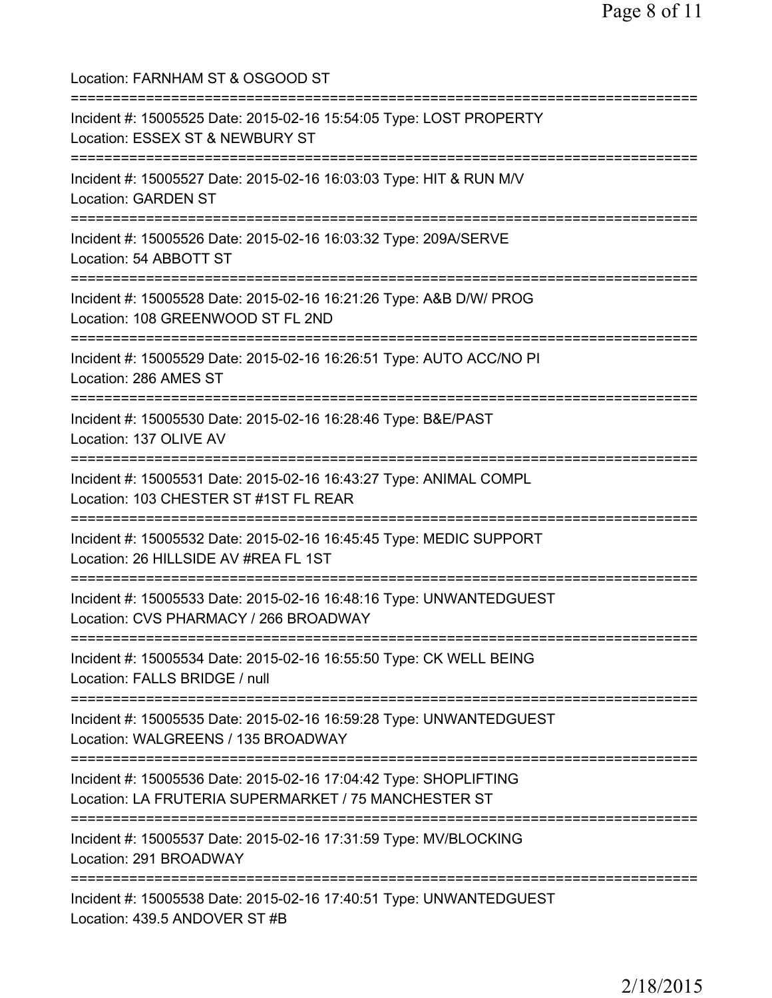Location: FARNHAM ST & OSGOOD ST =========================================================================== Incident #: 15005525 Date: 2015-02-16 15:54:05 Type: LOST PROPERTY Location: ESSEX ST & NEWBURY ST =========================================================================== Incident #: 15005527 Date: 2015-02-16 16:03:03 Type: HIT & RUN M/V Location: GARDEN ST =========================================================================== Incident #: 15005526 Date: 2015-02-16 16:03:32 Type: 209A/SERVE Location: 54 ABBOTT ST =========================================================================== Incident #: 15005528 Date: 2015-02-16 16:21:26 Type: A&B D/W/ PROG Location: 108 GREENWOOD ST FL 2ND =========================================================================== Incident #: 15005529 Date: 2015-02-16 16:26:51 Type: AUTO ACC/NO PI Location: 286 AMES ST =========================================================================== Incident #: 15005530 Date: 2015-02-16 16:28:46 Type: B&E/PAST Location: 137 OLIVE AV =========================================================================== Incident #: 15005531 Date: 2015-02-16 16:43:27 Type: ANIMAL COMPL Location: 103 CHESTER ST #1ST FL REAR =========================================================================== Incident #: 15005532 Date: 2015-02-16 16:45:45 Type: MEDIC SUPPORT Location: 26 HILLSIDE AV #REA FL 1ST =========================================================================== Incident #: 15005533 Date: 2015-02-16 16:48:16 Type: UNWANTEDGUEST Location: CVS PHARMACY / 266 BROADWAY =========================================================================== Incident #: 15005534 Date: 2015-02-16 16:55:50 Type: CK WELL BEING Location: FALLS BRIDGE / null =========================================================================== Incident #: 15005535 Date: 2015-02-16 16:59:28 Type: UNWANTEDGUEST Location: WALGREENS / 135 BROADWAY =========================================================================== Incident #: 15005536 Date: 2015-02-16 17:04:42 Type: SHOPLIFTING Location: LA FRUTERIA SUPERMARKET / 75 MANCHESTER ST =========================================================================== Incident #: 15005537 Date: 2015-02-16 17:31:59 Type: MV/BLOCKING Location: 291 BROADWAY =========================================================================== Incident #: 15005538 Date: 2015-02-16 17:40:51 Type: UNWANTEDGUEST Location: 439.5 ANDOVER ST #B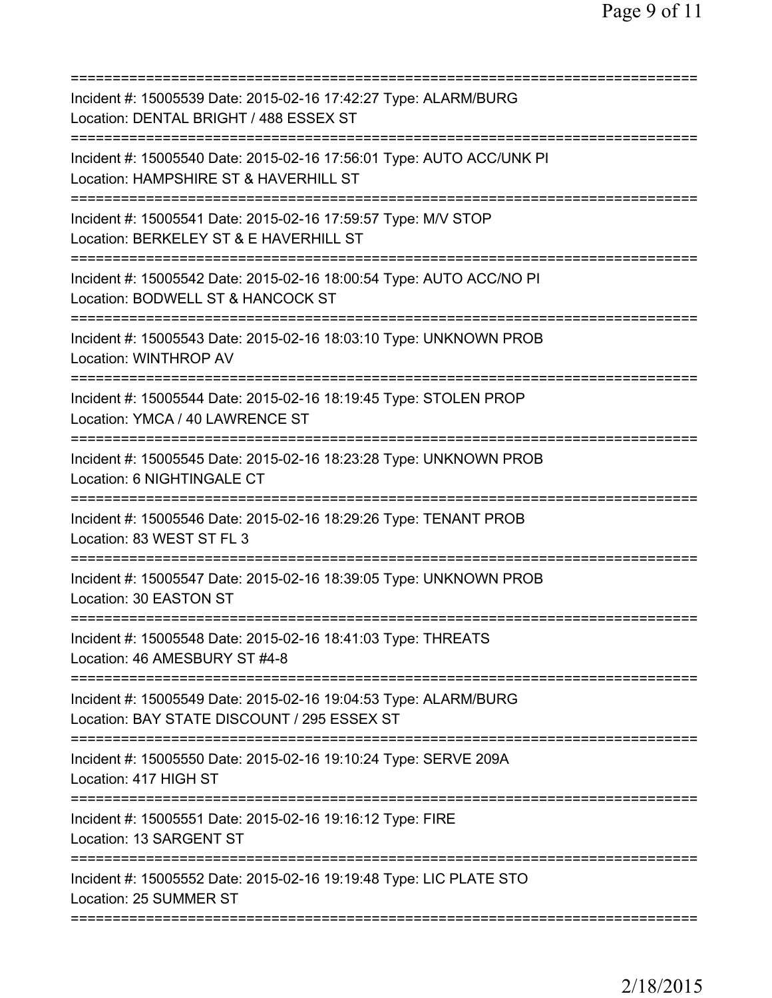| Incident #: 15005539 Date: 2015-02-16 17:42:27 Type: ALARM/BURG<br>Location: DENTAL BRIGHT / 488 ESSEX ST                    |
|------------------------------------------------------------------------------------------------------------------------------|
| Incident #: 15005540 Date: 2015-02-16 17:56:01 Type: AUTO ACC/UNK PI<br>Location: HAMPSHIRE ST & HAVERHILL ST                |
| Incident #: 15005541 Date: 2015-02-16 17:59:57 Type: M/V STOP<br>Location: BERKELEY ST & E HAVERHILL ST                      |
| Incident #: 15005542 Date: 2015-02-16 18:00:54 Type: AUTO ACC/NO PI<br>Location: BODWELL ST & HANCOCK ST                     |
| Incident #: 15005543 Date: 2015-02-16 18:03:10 Type: UNKNOWN PROB<br><b>Location: WINTHROP AV</b>                            |
| Incident #: 15005544 Date: 2015-02-16 18:19:45 Type: STOLEN PROP<br>Location: YMCA / 40 LAWRENCE ST                          |
| Incident #: 15005545 Date: 2015-02-16 18:23:28 Type: UNKNOWN PROB<br>Location: 6 NIGHTINGALE CT                              |
| Incident #: 15005546 Date: 2015-02-16 18:29:26 Type: TENANT PROB<br>Location: 83 WEST ST FL 3<br>=========================== |
| Incident #: 15005547 Date: 2015-02-16 18:39:05 Type: UNKNOWN PROB<br>Location: 30 EASTON ST                                  |
| Incident #: 15005548 Date: 2015-02-16 18:41:03 Type: THREATS<br>Location: 46 AMESBURY ST #4-8                                |
| Incident #: 15005549 Date: 2015-02-16 19:04:53 Type: ALARM/BURG<br>Location: BAY STATE DISCOUNT / 295 ESSEX ST               |
| Incident #: 15005550 Date: 2015-02-16 19:10:24 Type: SERVE 209A<br>Location: 417 HIGH ST                                     |
| Incident #: 15005551 Date: 2015-02-16 19:16:12 Type: FIRE<br>Location: 13 SARGENT ST                                         |
| Incident #: 15005552 Date: 2015-02-16 19:19:48 Type: LIC PLATE STO<br>Location: 25 SUMMER ST                                 |
|                                                                                                                              |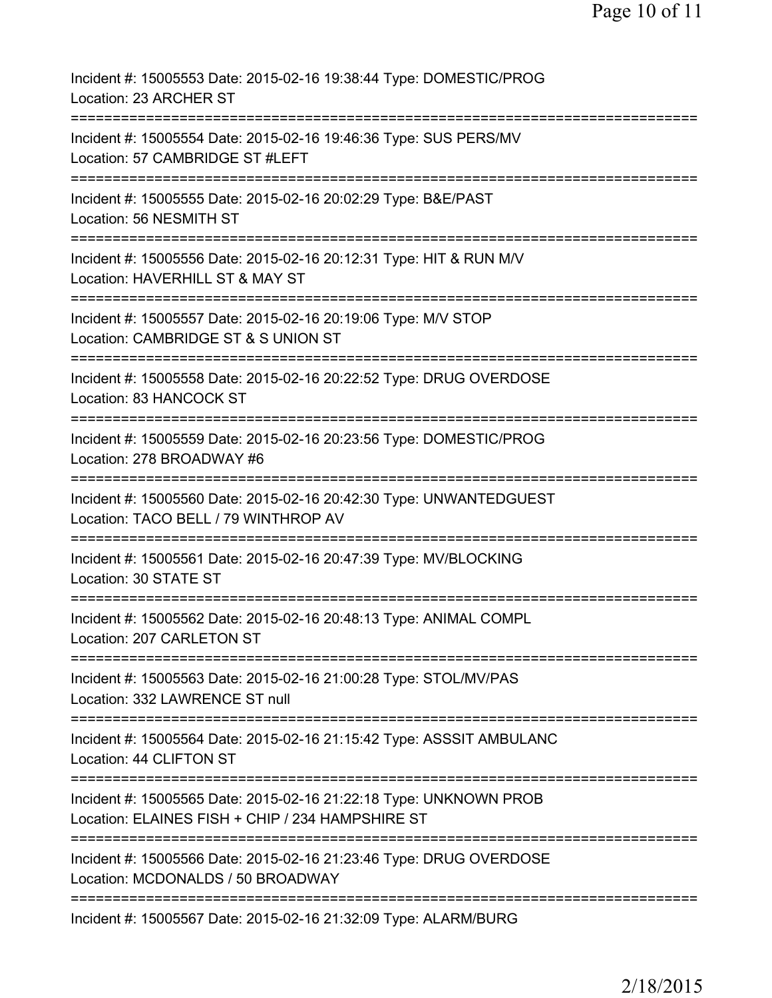| Incident #: 15005553 Date: 2015-02-16 19:38:44 Type: DOMESTIC/PROG<br>Location: 23 ARCHER ST                                                       |
|----------------------------------------------------------------------------------------------------------------------------------------------------|
| Incident #: 15005554 Date: 2015-02-16 19:46:36 Type: SUS PERS/MV<br>Location: 57 CAMBRIDGE ST #LEFT                                                |
| Incident #: 15005555 Date: 2015-02-16 20:02:29 Type: B&E/PAST<br>Location: 56 NESMITH ST                                                           |
| Incident #: 15005556 Date: 2015-02-16 20:12:31 Type: HIT & RUN M/V<br>Location: HAVERHILL ST & MAY ST                                              |
| Incident #: 15005557 Date: 2015-02-16 20:19:06 Type: M/V STOP<br>Location: CAMBRIDGE ST & S UNION ST                                               |
| ============================<br>Incident #: 15005558 Date: 2015-02-16 20:22:52 Type: DRUG OVERDOSE<br>Location: 83 HANCOCK ST                      |
| Incident #: 15005559 Date: 2015-02-16 20:23:56 Type: DOMESTIC/PROG<br>Location: 278 BROADWAY #6                                                    |
| Incident #: 15005560 Date: 2015-02-16 20:42:30 Type: UNWANTEDGUEST<br>Location: TACO BELL / 79 WINTHROP AV                                         |
| Incident #: 15005561 Date: 2015-02-16 20:47:39 Type: MV/BLOCKING<br>Location: 30 STATE ST                                                          |
| Incident #: 15005562 Date: 2015-02-16 20:48:13 Type: ANIMAL COMPL<br>Location: 207 CARLETON ST                                                     |
| Incident #: 15005563 Date: 2015-02-16 21:00:28 Type: STOL/MV/PAS<br>Location: 332 LAWRENCE ST null                                                 |
| =========================<br>Incident #: 15005564 Date: 2015-02-16 21:15:42 Type: ASSSIT AMBULANC<br>Location: 44 CLIFTON ST                       |
| =========================<br>Incident #: 15005565 Date: 2015-02-16 21:22:18 Type: UNKNOWN PROB<br>Location: ELAINES FISH + CHIP / 234 HAMPSHIRE ST |
| Incident #: 15005566 Date: 2015-02-16 21:23:46 Type: DRUG OVERDOSE<br>Location: MCDONALDS / 50 BROADWAY                                            |
| =====================<br>Incident #: 15005567 Date: 2015-02-16 21:32:09 Type: ALARM/BURG                                                           |